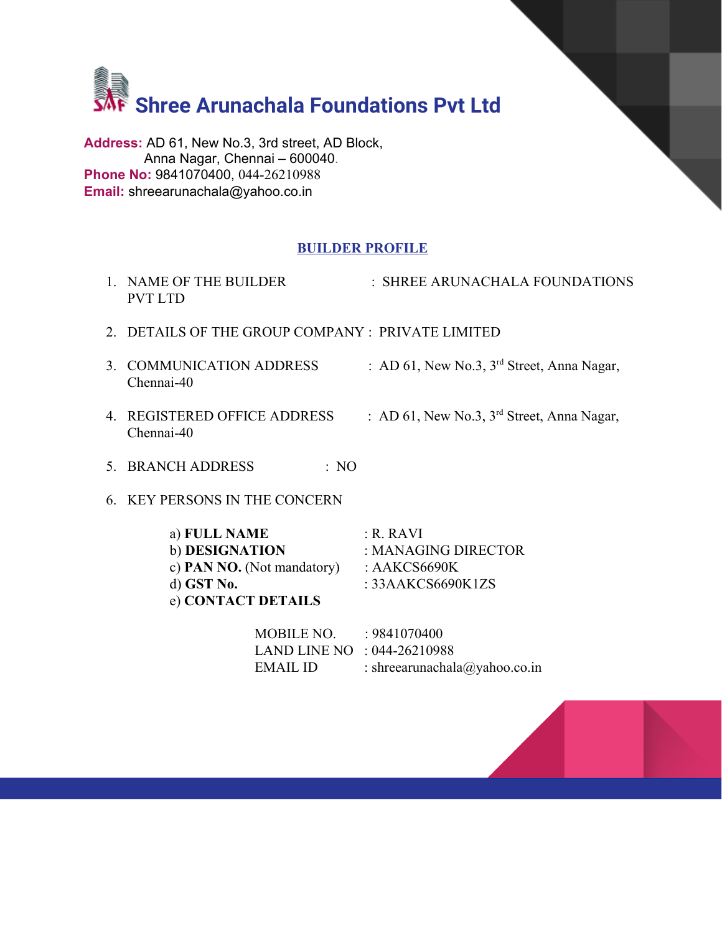

**Address:** AD 61, New No.3, 3rd street, AD Block, Anna Nagar, Chennai – 600040. **Phone No:** 9841070400, 044-26210988 **Email:** shreearunachala@yahoo.co.in

#### **BUILDER PROFILE**

- 1. NAME OF THE BUILDER : SHREE ARUNACHALA FOUNDATIONS PVT LTD
- 2. DETAILS OF THE GROUP COMPANY : PRIVATE LIMITED
- 3. COMMUNICATION ADDRESS : AD 61, New No.3,  $3<sup>rd</sup>$  Street, Anna Nagar, Chennai-40
- 4. REGISTERED OFFICE ADDRESS Chennai-40
- : AD 61, New No.3,  $3<sup>rd</sup>$  Street, Anna Nagar,
- 5. BRANCH ADDRESS : NO
- 6. KEY PERSONS IN THE CONCERN

| a) FULL NAME                      | : R. RAVI           |
|-----------------------------------|---------------------|
| b) DESIGNATION                    | : MANAGING DIRECTOR |
| c) <b>PAN NO.</b> (Not mandatory) | : AAKCS6690K        |
| d) GST No.                        | : $33AAKCS6690K1ZS$ |
| e) CONTACT DETAILS                |                     |

| MOBILE NO.                    | : 9841070400                  |
|-------------------------------|-------------------------------|
| LAND LINE NO : $044-26210988$ |                               |
| EMAIL ID                      | : shreearunachala@yahoo.co.in |

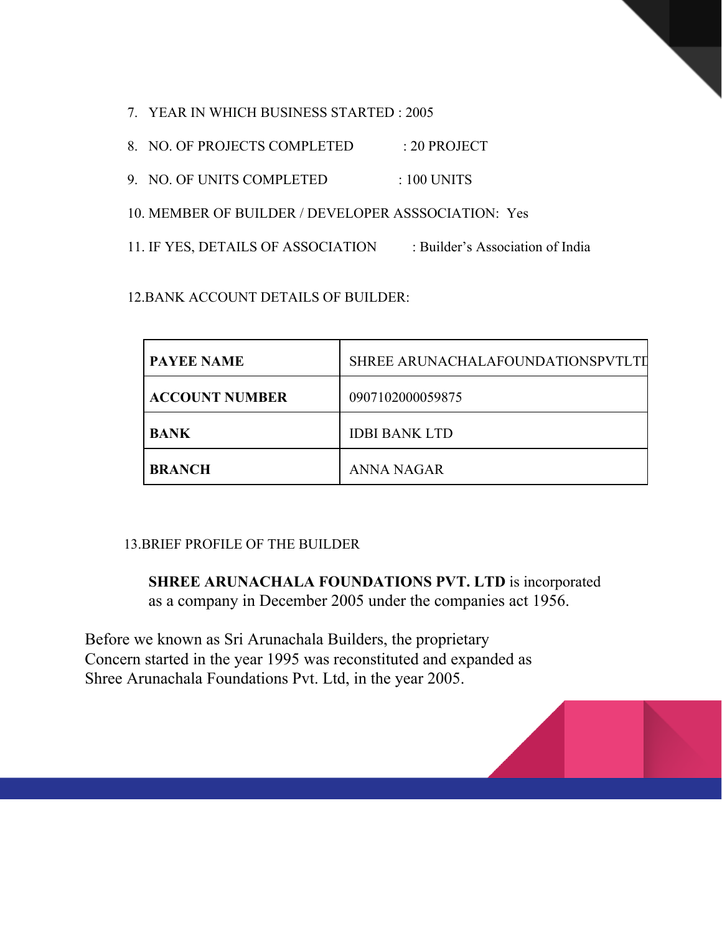7. YEAR IN WHICH BUSINESS STARTED : 2005

8. NO. OF PROJECTS COMPLETED : 20 PROJECT

9. NO. OF UNITS COMPLETED : 100 UNITS

10. MEMBER OF BUILDER / DEVELOPER ASSSOCIATION: Yes

11. IF YES, DETAILS OF ASSOCIATION : Builder's Association of India

12.BANK ACCOUNT DETAILS OF BUILDER:

| <b>PAYEE NAME</b>     | SHREE ARUNACHALAFOUNDATIONSPVTLTI |
|-----------------------|-----------------------------------|
| <b>ACCOUNT NUMBER</b> | 0907102000059875                  |
| <b>BANK</b>           | <b>IDBI BANK LTD</b>              |
| <b>BRANCH</b>         | ANNA NAGAR                        |

#### 13.BRIEF PROFILE OF THE BUILDER

**SHREE ARUNACHALA FOUNDATIONS PVT. LTD** is incorporated as a company in December 2005 under the companies act 1956.

Before we known as Sri Arunachala Builders, the proprietary Concern started in the year 1995 was reconstituted and expanded as Shree Arunachala Foundations Pvt. Ltd, in the year 2005.

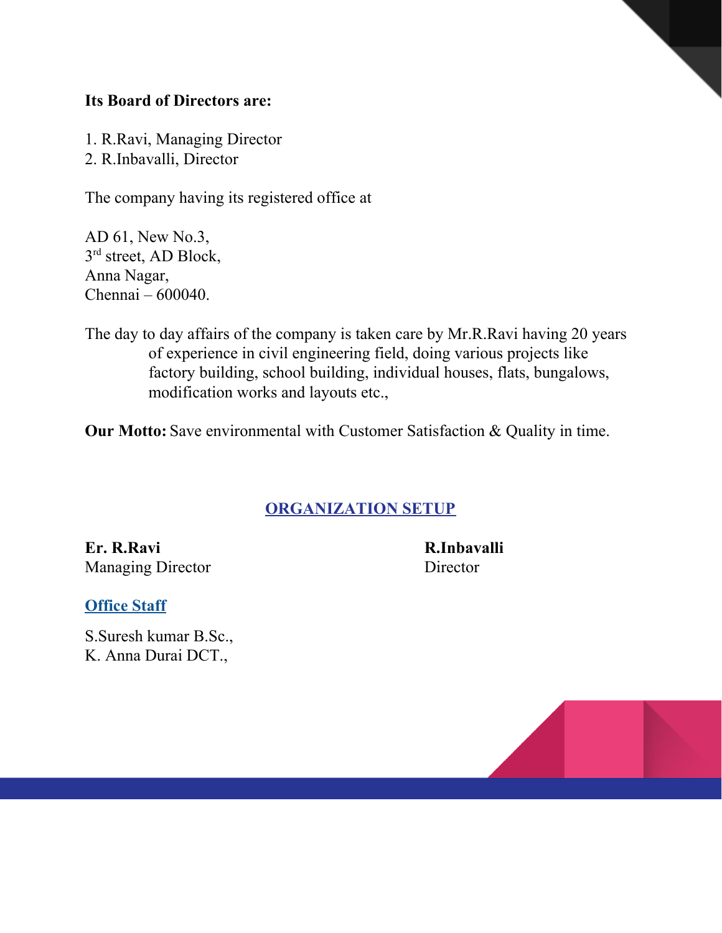#### **Its Board of Directors are:**

- 1. R.Ravi, Managing Director
- 2. R.Inbavalli, Director

The company having its registered office at

AD 61, New No.3, 3<sup>rd</sup> street, AD Block, Anna Nagar, Chennai – 600040.

The day to day affairs of the company is taken care by Mr.R.Ravi having 20 years of experience in civil engineering field, doing various projects like factory building, school building, individual houses, flats, bungalows, modification works and layouts etc.,

**Our Motto:** Save environmental with Customer Satisfaction & Quality in time.

## **ORGANIZATION SETUP**

**Er. R.Ravi R.Inbavalli** Managing Director Director

#### **Office Staff**

S.Suresh kumar B.Sc., K. Anna Durai DCT.,

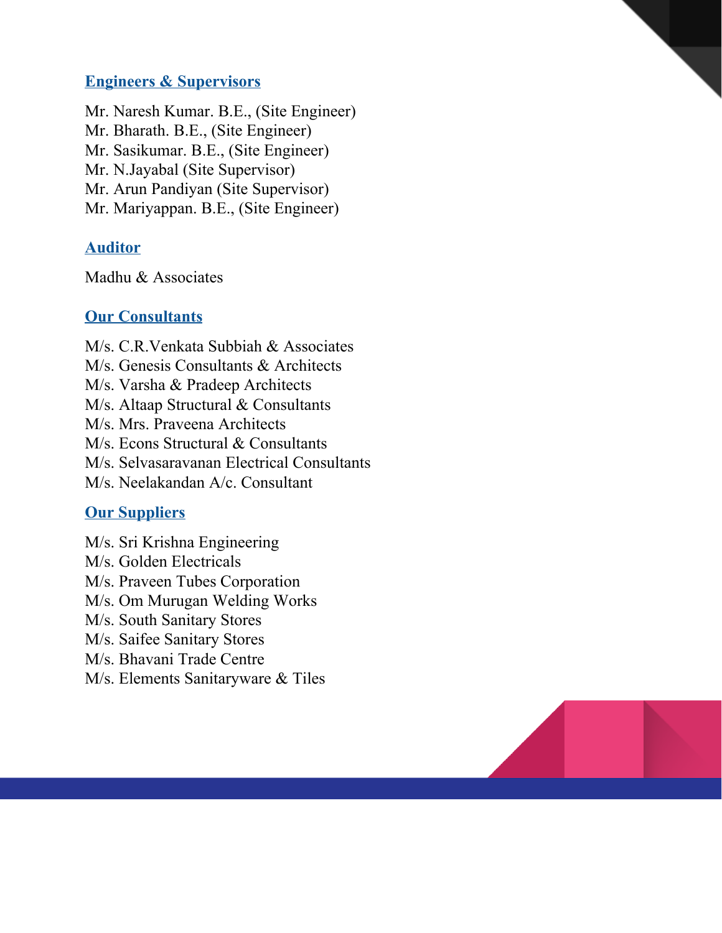## **Engineers & Supervisors**

Mr. Naresh Kumar. B.E., (Site Engineer) Mr. Bharath. B.E., (Site Engineer) Mr. Sasikumar. B.E., (Site Engineer) Mr. N.Jayabal (Site Supervisor) Mr. Arun Pandiyan (Site Supervisor) Mr. Mariyappan. B.E., (Site Engineer)

## **Auditor**

Madhu & Associates

## **Our Consultants**

M/s. C.R.Venkata Subbiah & Associates

M/s. Genesis Consultants & Architects

M/s. Varsha & Pradeep Architects

M/s. Altaap Structural & Consultants

M/s. Mrs. Praveena Architects

M/s. Econs Structural & Consultants

M/s. Selvasaravanan Electrical Consultants

M/s. Neelakandan A/c. Consultant

#### **Our Suppliers**

M/s. Sri Krishna Engineering

M/s. Golden Electricals

M/s. Praveen Tubes Corporation

M/s. Om Murugan Welding Works

M/s. South Sanitary Stores

M/s. Saifee Sanitary Stores

M/s. Bhavani Trade Centre

M/s. Elements Sanitaryware & Tiles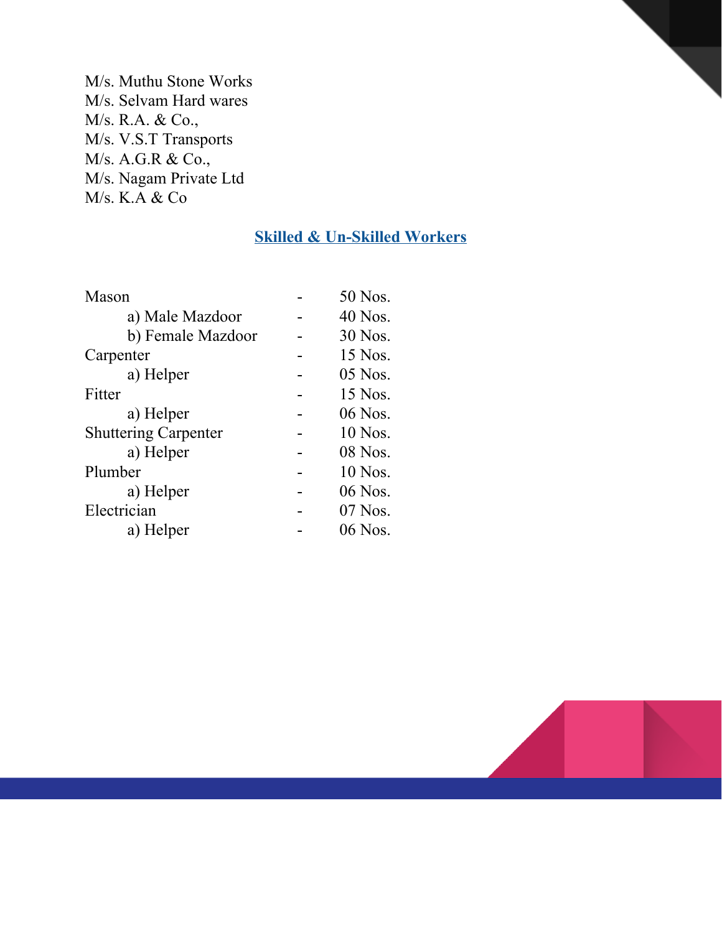M/s. Muthu Stone Works M/s. Selvam Hard wares M/s. R.A. & Co., M/s. V.S.T Transports M/s. A.G.R & Co., M/s. Nagam Private Ltd M/s. K.A & Co

# **Skilled & Un-Skilled Workers**

| Mason                       | 50 Nos. |
|-----------------------------|---------|
| a) Male Mazdoor             | 40 Nos. |
| b) Female Mazdoor           | 30 Nos. |
| Carpenter                   | 15 Nos. |
| a) Helper                   | 05 Nos. |
| Fitter                      | 15 Nos. |
| a) Helper                   | 06 Nos. |
| <b>Shuttering Carpenter</b> | 10 Nos. |
| a) Helper                   | 08 Nos. |
| Plumber                     | 10 Nos. |
| a) Helper                   | 06 Nos. |
| Electrician                 | 07 Nos. |
| a) Helper                   | 06 Nos. |

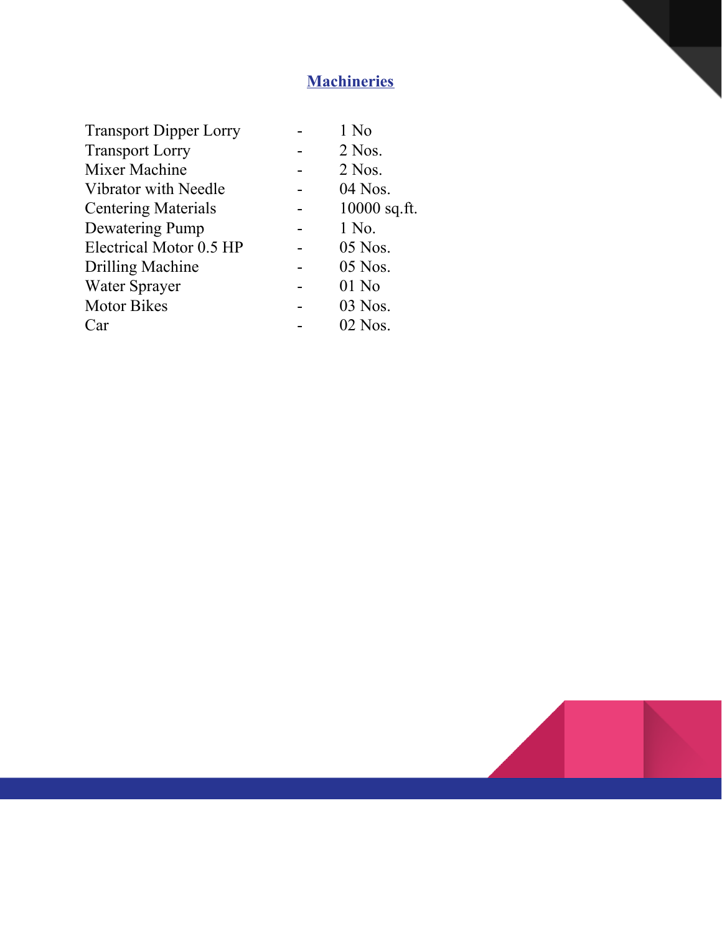# **Machineries**

| 1 No         |
|--------------|
| $2$ Nos.     |
| $2$ Nos.     |
| 04 Nos.      |
| 10000 sq.ft. |
| 1 No.        |
| 05 Nos.      |
| 05 Nos.      |
| $01$ No      |
| 03 Nos.      |
| $02$ Nos.    |
|              |

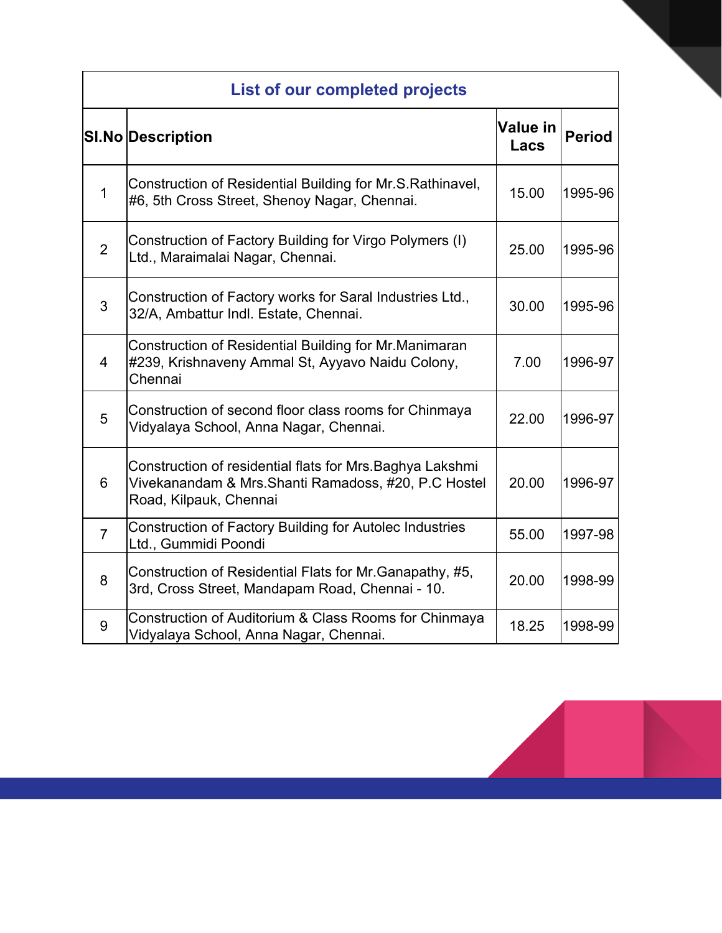|                | <b>List of our completed projects</b>                                                                                                       |                         |               |  |  |
|----------------|---------------------------------------------------------------------------------------------------------------------------------------------|-------------------------|---------------|--|--|
|                | <b>SI.No Description</b>                                                                                                                    | <b>Value in</b><br>Lacs | <b>Period</b> |  |  |
| $\mathbf{1}$   | Construction of Residential Building for Mr.S. Rathinavel,<br>#6, 5th Cross Street, Shenoy Nagar, Chennai.                                  | 15.00                   | 1995-96       |  |  |
| $\overline{2}$ | Construction of Factory Building for Virgo Polymers (I)<br>Ltd., Maraimalai Nagar, Chennai.                                                 | 25.00                   | 1995-96       |  |  |
| 3              | Construction of Factory works for Saral Industries Ltd.,<br>32/A, Ambattur Indl. Estate, Chennai.                                           | 30.00                   | 1995-96       |  |  |
| $\overline{4}$ | Construction of Residential Building for Mr. Manimaran<br>#239, Krishnaveny Ammal St, Ayyavo Naidu Colony,<br>Chennai                       | 7.00                    | 1996-97       |  |  |
| 5              | Construction of second floor class rooms for Chinmaya<br>Vidyalaya School, Anna Nagar, Chennai.                                             | 22.00                   | 1996-97       |  |  |
| 6              | Construction of residential flats for Mrs. Baghya Lakshmi<br>Vivekanandam & Mrs. Shanti Ramadoss, #20, P.C Hostel<br>Road, Kilpauk, Chennai | 20.00                   | 1996-97       |  |  |
| $\overline{7}$ | Construction of Factory Building for Autolec Industries<br>Ltd., Gummidi Poondi                                                             | 55.00                   | 1997-98       |  |  |
| 8              | Construction of Residential Flats for Mr. Ganapathy, #5,<br>3rd, Cross Street, Mandapam Road, Chennai - 10.                                 | 20.00                   | 1998-99       |  |  |
| 9              | Construction of Auditorium & Class Rooms for Chinmaya<br>Vidyalaya School, Anna Nagar, Chennai.                                             | 18.25                   | 1998-99       |  |  |

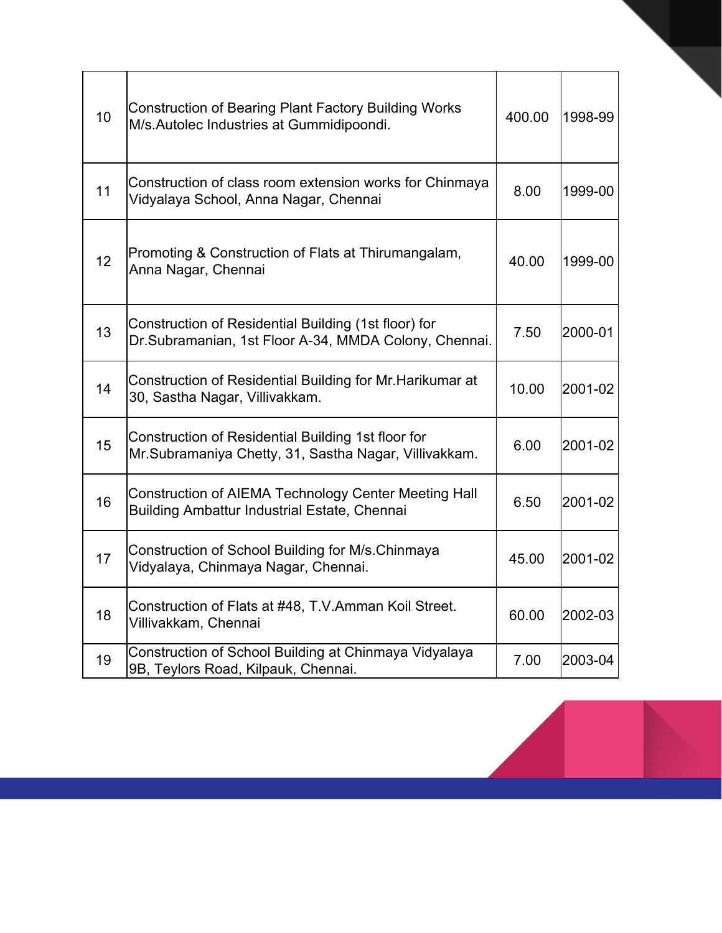| 10 | <b>Construction of Bearing Plant Factory Building Works</b><br>M/s.Autolec Industries at Gummidipoondi.       | 400.00 | 1998-99 |
|----|---------------------------------------------------------------------------------------------------------------|--------|---------|
| 11 | Construction of class room extension works for Chinmaya<br>Vidyalaya School, Anna Nagar, Chennai              | 8.00   | 1999-00 |
| 12 | Promoting & Construction of Flats at Thirumangalam,<br>Anna Nagar, Chennai                                    | 40.00  | 1999-00 |
| 13 | Construction of Residential Building (1st floor) for<br>Dr.Subramanian, 1st Floor A-34, MMDA Colony, Chennai. | 7.50   | 2000-01 |
| 14 | Construction of Residential Building for Mr. Harikumar at<br>30, Sastha Nagar, Villivakkam.                   | 10.00  | 2001-02 |
| 15 | Construction of Residential Building 1st floor for<br>Mr.Subramaniya Chetty, 31, Sastha Nagar, Villivakkam.   | 6.00   | 2001-02 |
| 16 | Construction of AIEMA Technology Center Meeting Hall<br>Building Ambattur Industrial Estate, Chennai          | 6.50   | 2001-02 |
| 17 | Construction of School Building for M/s.Chinmaya<br>Vidyalaya, Chinmaya Nagar, Chennai.                       | 45.00  | 2001-02 |
| 18 | Construction of Flats at #48, T.V.Amman Koil Street.<br>Villivakkam, Chennai                                  | 60.00  | 2002-03 |
| 19 | Construction of School Building at Chinmaya Vidyalaya<br>9B, Teylors Road, Kilpauk, Chennai.                  | 7.00   | 2003-04 |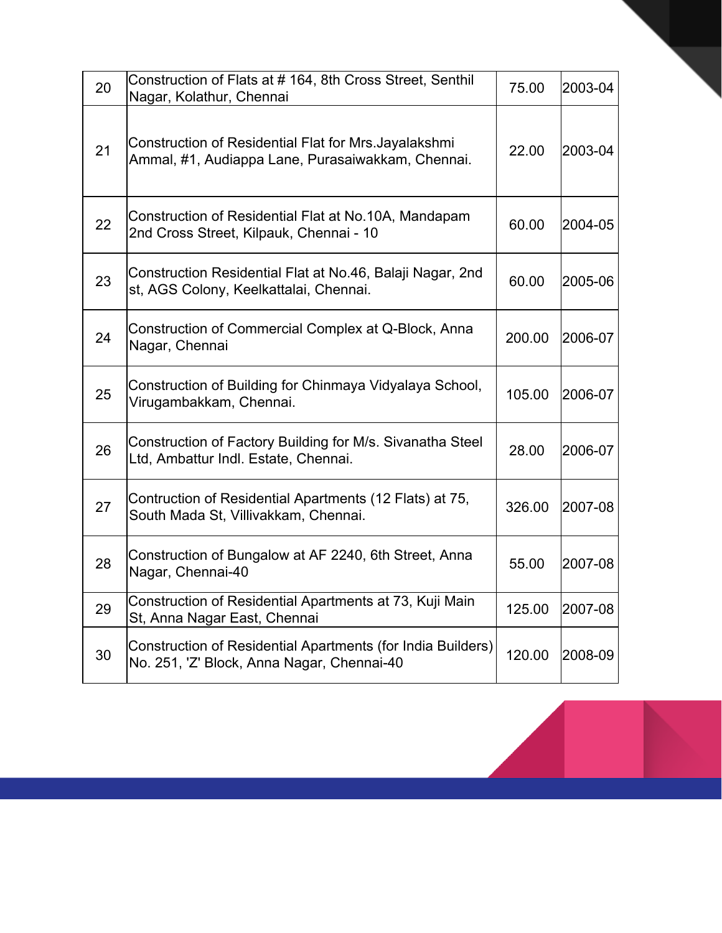| 20 | Construction of Flats at # 164, 8th Cross Street, Senthil<br>Nagar, Kolathur, Chennai                      | 75.00  | 2003-04 |
|----|------------------------------------------------------------------------------------------------------------|--------|---------|
| 21 | Construction of Residential Flat for Mrs. Jayalakshmi<br>Ammal, #1, Audiappa Lane, Purasaiwakkam, Chennai. | 22.00  | 2003-04 |
| 22 | Construction of Residential Flat at No.10A, Mandapam<br>2nd Cross Street, Kilpauk, Chennai - 10            | 60.00  | 2004-05 |
| 23 | Construction Residential Flat at No.46, Balaji Nagar, 2nd<br>st, AGS Colony, Keelkattalai, Chennai.        | 60.00  | 2005-06 |
| 24 | Construction of Commercial Complex at Q-Block, Anna<br>Nagar, Chennai                                      | 200.00 | 2006-07 |
| 25 | Construction of Building for Chinmaya Vidyalaya School,<br>Virugambakkam, Chennai.                         | 105.00 | 2006-07 |
| 26 | Construction of Factory Building for M/s. Sivanatha Steel<br>Ltd, Ambattur Indl. Estate, Chennai.          | 28.00  | 2006-07 |
| 27 | Contruction of Residential Apartments (12 Flats) at 75,<br>South Mada St, Villivakkam, Chennai.            | 326.00 | 2007-08 |
| 28 | Construction of Bungalow at AF 2240, 6th Street, Anna<br>Nagar, Chennai-40                                 | 55.00  | 2007-08 |
| 29 | Construction of Residential Apartments at 73, Kuji Main<br>St, Anna Nagar East, Chennai                    | 125.00 | 2007-08 |
| 30 | Construction of Residential Apartments (for India Builders)<br>No. 251, 'Z' Block, Anna Nagar, Chennai-40  | 120.00 | 2008-09 |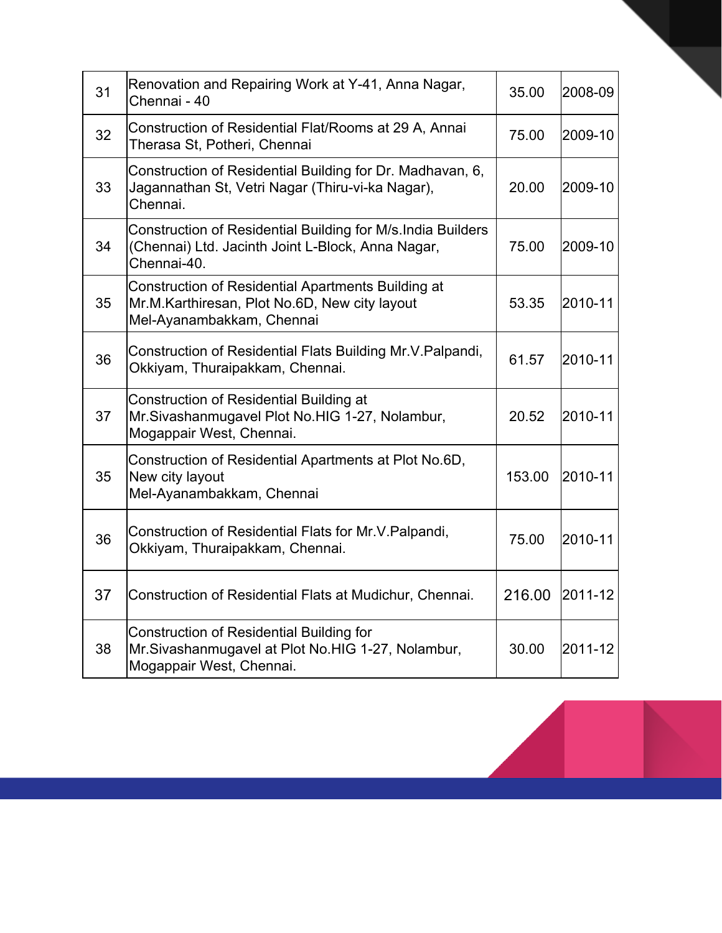| 31 | Renovation and Repairing Work at Y-41, Anna Nagar,<br>Chennai - 40                                                               | 35.00  | 2008-09 |
|----|----------------------------------------------------------------------------------------------------------------------------------|--------|---------|
| 32 | Construction of Residential Flat/Rooms at 29 A, Annai<br>Therasa St, Potheri, Chennai                                            | 75.00  | 2009-10 |
| 33 | Construction of Residential Building for Dr. Madhavan, 6,<br>Jagannathan St, Vetri Nagar (Thiru-vi-ka Nagar),<br>Chennai.        | 20.00  | 2009-10 |
| 34 | Construction of Residential Building for M/s. India Builders<br>(Chennai) Ltd. Jacinth Joint L-Block, Anna Nagar,<br>Chennai-40. | 75.00  | 2009-10 |
| 35 | Construction of Residential Apartments Building at<br>Mr.M.Karthiresan, Plot No.6D, New city layout<br>Mel-Ayanambakkam, Chennai | 53.35  | 2010-11 |
| 36 | Construction of Residential Flats Building Mr.V. Palpandi,<br>Okkiyam, Thuraipakkam, Chennai.                                    | 61.57  | 2010-11 |
| 37 | Construction of Residential Building at<br>Mr.Sivashanmugavel Plot No.HIG 1-27, Nolambur,<br>Mogappair West, Chennai.            | 20.52  | 2010-11 |
| 35 | Construction of Residential Apartments at Plot No.6D,<br>New city layout<br>Mel-Ayanambakkam, Chennai                            | 153.00 | 2010-11 |
| 36 | Construction of Residential Flats for Mr.V. Palpandi,<br>Okkiyam, Thuraipakkam, Chennai.                                         | 75.00  | 2010-11 |
| 37 | Construction of Residential Flats at Mudichur, Chennai.                                                                          | 216.00 | 2011-12 |
| 38 | <b>Construction of Residential Building for</b><br>Mr.Sivashanmugavel at Plot No.HIG 1-27, Nolambur,<br>Mogappair West, Chennai. | 30.00  | 2011-12 |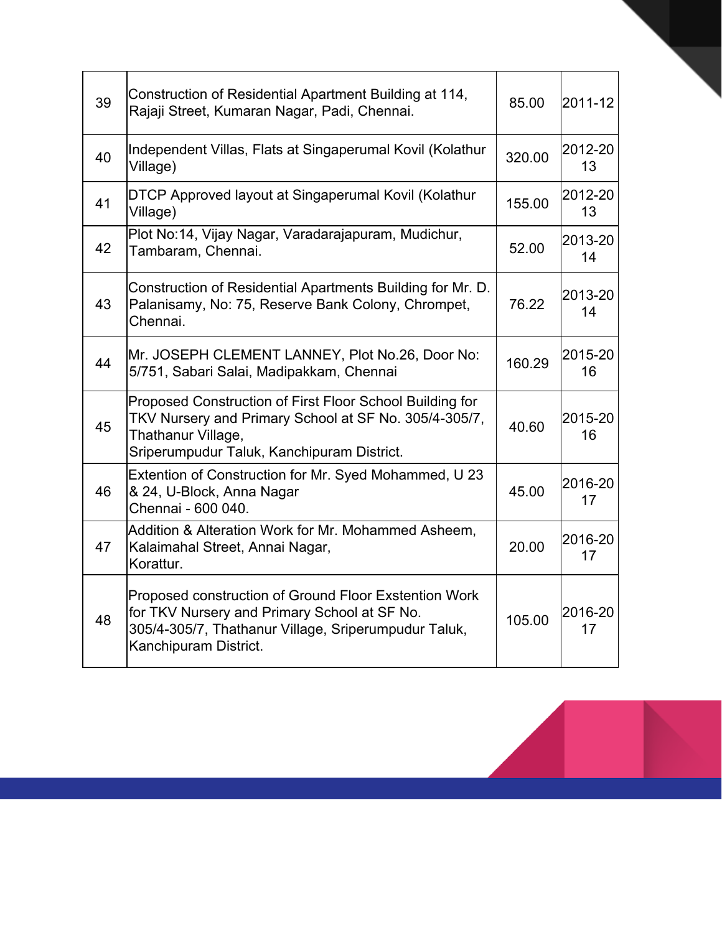| 39 | Construction of Residential Apartment Building at 114,<br>Rajaji Street, Kumaran Nagar, Padi, Chennai.                                                                                 | 85.00  | 2011-12       |
|----|----------------------------------------------------------------------------------------------------------------------------------------------------------------------------------------|--------|---------------|
| 40 | Independent Villas, Flats at Singaperumal Kovil (Kolathur<br>Village)                                                                                                                  | 320.00 | 2012-20<br>13 |
| 41 | DTCP Approved layout at Singaperumal Kovil (Kolathur<br>Village)                                                                                                                       | 155.00 | 2012-20<br>13 |
| 42 | Plot No:14, Vijay Nagar, Varadarajapuram, Mudichur,<br>Tambaram, Chennai.                                                                                                              | 52.00  | 2013-20<br>14 |
| 43 | Construction of Residential Apartments Building for Mr. D.<br>Palanisamy, No: 75, Reserve Bank Colony, Chrompet,<br>Chennai.                                                           | 76.22  | 2013-20<br>14 |
| 44 | Mr. JOSEPH CLEMENT LANNEY, Plot No.26, Door No:<br>5/751, Sabari Salai, Madipakkam, Chennai                                                                                            | 160.29 | 2015-20<br>16 |
| 45 | Proposed Construction of First Floor School Building for<br>TKV Nursery and Primary School at SF No. 305/4-305/7,<br>Thathanur Village,<br>Sriperumpudur Taluk, Kanchipuram District.  | 40.60  | 2015-20<br>16 |
| 46 | Extention of Construction for Mr. Syed Mohammed, U 23<br>& 24, U-Block, Anna Nagar<br>Chennai - 600 040.                                                                               | 45.00  | 2016-20<br>17 |
| 47 | Addition & Alteration Work for Mr. Mohammed Asheem,<br>Kalaimahal Street, Annai Nagar,<br>Korattur.                                                                                    | 20.00  | 2016-20<br>17 |
| 48 | Proposed construction of Ground Floor Exstention Work<br>for TKV Nursery and Primary School at SF No.<br>305/4-305/7, Thathanur Village, Sriperumpudur Taluk,<br>Kanchipuram District. | 105.00 | 2016-20<br>17 |